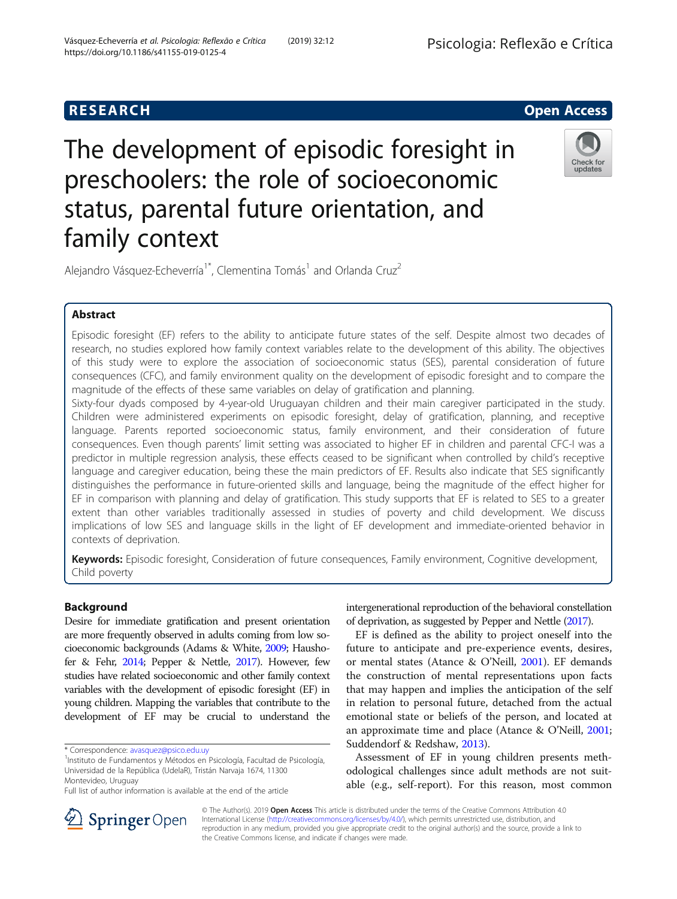

# The development of episodic foresight in preschoolers: the role of socioeconomic status, parental future orientation, and family context



Alejandro Vásquez-Echeverría<sup>1\*</sup>, Clementina Tomás<sup>1</sup> and Orlanda Cruz<sup>2</sup>

# Abstract

Episodic foresight (EF) refers to the ability to anticipate future states of the self. Despite almost two decades of research, no studies explored how family context variables relate to the development of this ability. The objectives of this study were to explore the association of socioeconomic status (SES), parental consideration of future consequences (CFC), and family environment quality on the development of episodic foresight and to compare the magnitude of the effects of these same variables on delay of gratification and planning.

Sixty-four dyads composed by 4-year-old Uruguayan children and their main caregiver participated in the study. Children were administered experiments on episodic foresight, delay of gratification, planning, and receptive language. Parents reported socioeconomic status, family environment, and their consideration of future consequences. Even though parents' limit setting was associated to higher EF in children and parental CFC-I was a predictor in multiple regression analysis, these effects ceased to be significant when controlled by child's receptive language and caregiver education, being these the main predictors of EF. Results also indicate that SES significantly distinguishes the performance in future-oriented skills and language, being the magnitude of the effect higher for EF in comparison with planning and delay of gratification. This study supports that EF is related to SES to a greater extent than other variables traditionally assessed in studies of poverty and child development. We discuss implications of low SES and language skills in the light of EF development and immediate-oriented behavior in contexts of deprivation.

Keywords: Episodic foresight, Consideration of future consequences, Family environment, Cognitive development, Child poverty

# Background

Desire for immediate gratification and present orientation are more frequently observed in adults coming from low socioeconomic backgrounds (Adams & White, [2009;](#page-7-0) Haushofer & Fehr, [2014](#page-7-0); Pepper & Nettle, [2017](#page-7-0)). However, few studies have related socioeconomic and other family context variables with the development of episodic foresight (EF) in young children. Mapping the variables that contribute to the development of EF may be crucial to understand the

intergenerational reproduction of the behavioral constellation of deprivation, as suggested by Pepper and Nettle [\(2017](#page-7-0)).

EF is defined as the ability to project oneself into the future to anticipate and pre-experience events, desires, or mental states (Atance & O'Neill, [2001](#page-7-0)). EF demands the construction of mental representations upon facts that may happen and implies the anticipation of the self in relation to personal future, detached from the actual emotional state or beliefs of the person, and located at an approximate time and place (Atance & O'Neill, [2001](#page-7-0); Suddendorf & Redshaw, [2013\)](#page-7-0).

Assessment of EF in young children presents methodological challenges since adult methods are not suitable (e.g., self-report). For this reason, most common



© The Author(s). 2019 Open Access This article is distributed under the terms of the Creative Commons Attribution 4.0 International License ([http://creativecommons.org/licenses/by/4.0/\)](http://creativecommons.org/licenses/by/4.0/), which permits unrestricted use, distribution, and reproduction in any medium, provided you give appropriate credit to the original author(s) and the source, provide a link to the Creative Commons license, and indicate if changes were made.

<sup>\*</sup> Correspondence: [avasquez@psico.edu.uy](mailto:avasquez@psico.edu.uy) <sup>1</sup>

<sup>&</sup>lt;sup>1</sup>Instituto de Fundamentos y Métodos en Psicología, Facultad de Psicología, Universidad de la República (UdelaR), Tristán Narvaja 1674, 11300 Montevideo, Uruguay

Full list of author information is available at the end of the article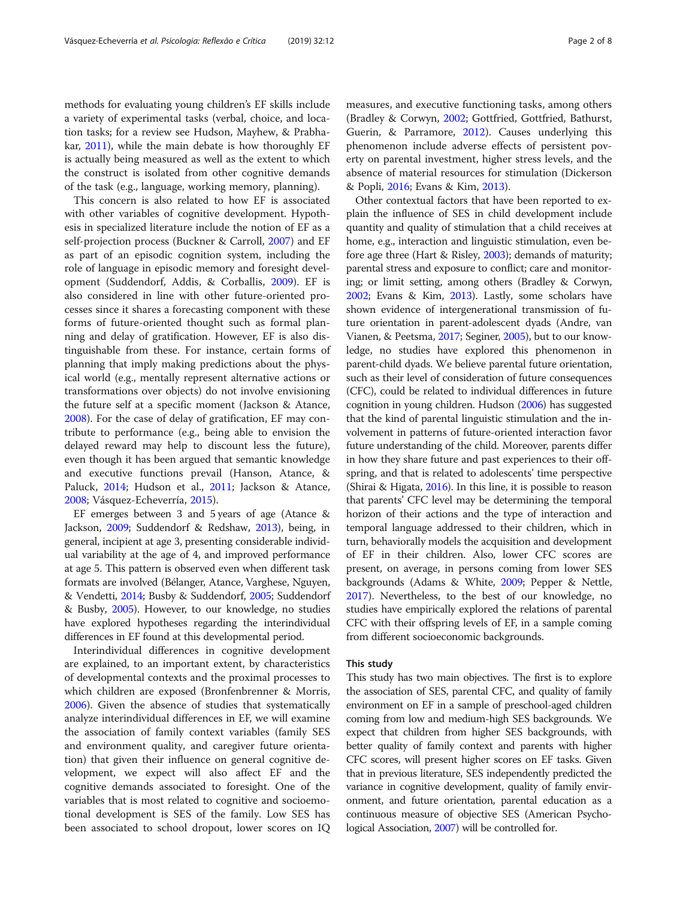methods for evaluating young children's EF skills include a variety of experimental tasks (verbal, choice, and location tasks; for a review see Hudson, Mayhew, & Prabhakar, [2011\)](#page-7-0), while the main debate is how thoroughly EF is actually being measured as well as the extent to which the construct is isolated from other cognitive demands of the task (e.g., language, working memory, planning).

This concern is also related to how EF is associated with other variables of cognitive development. Hypothesis in specialized literature include the notion of EF as a self-projection process (Buckner & Carroll, [2007\)](#page-7-0) and EF as part of an episodic cognition system, including the role of language in episodic memory and foresight development (Suddendorf, Addis, & Corballis, [2009](#page-7-0)). EF is also considered in line with other future-oriented processes since it shares a forecasting component with these forms of future-oriented thought such as formal planning and delay of gratification. However, EF is also distinguishable from these. For instance, certain forms of planning that imply making predictions about the physical world (e.g., mentally represent alternative actions or transformations over objects) do not involve envisioning the future self at a specific moment (Jackson & Atance, [2008](#page-7-0)). For the case of delay of gratification, EF may contribute to performance (e.g., being able to envision the delayed reward may help to discount less the future), even though it has been argued that semantic knowledge and executive functions prevail (Hanson, Atance, & Paluck, [2014;](#page-7-0) Hudson et al., [2011](#page-7-0); Jackson & Atance, [2008](#page-7-0); Vásquez-Echeverría, [2015](#page-7-0)).

EF emerges between 3 and 5 years of age (Atance & Jackson, [2009](#page-7-0); Suddendorf & Redshaw, [2013](#page-7-0)), being, in general, incipient at age 3, presenting considerable individual variability at the age of 4, and improved performance at age 5. This pattern is observed even when different task formats are involved (Bélanger, Atance, Varghese, Nguyen, & Vendetti, [2014;](#page-7-0) Busby & Suddendorf, [2005;](#page-7-0) Suddendorf & Busby, [2005\)](#page-7-0). However, to our knowledge, no studies have explored hypotheses regarding the interindividual differences in EF found at this developmental period.

Interindividual differences in cognitive development are explained, to an important extent, by characteristics of developmental contexts and the proximal processes to which children are exposed (Bronfenbrenner & Morris, [2006](#page-7-0)). Given the absence of studies that systematically analyze interindividual differences in EF, we will examine the association of family context variables (family SES and environment quality, and caregiver future orientation) that given their influence on general cognitive development, we expect will also affect EF and the cognitive demands associated to foresight. One of the variables that is most related to cognitive and socioemotional development is SES of the family. Low SES has been associated to school dropout, lower scores on IQ measures, and executive functioning tasks, among others (Bradley & Corwyn, [2002;](#page-7-0) Gottfried, Gottfried, Bathurst, Guerin, & Parramore, [2012\)](#page-7-0). Causes underlying this phenomenon include adverse effects of persistent poverty on parental investment, higher stress levels, and the absence of material resources for stimulation (Dickerson & Popli, [2016;](#page-7-0) Evans & Kim, [2013](#page-7-0)).

Other contextual factors that have been reported to explain the influence of SES in child development include quantity and quality of stimulation that a child receives at home, e.g., interaction and linguistic stimulation, even before age three (Hart & Risley, [2003\)](#page-7-0); demands of maturity; parental stress and exposure to conflict; care and monitoring; or limit setting, among others (Bradley & Corwyn, [2002;](#page-7-0) Evans & Kim, [2013](#page-7-0)). Lastly, some scholars have shown evidence of intergenerational transmission of future orientation in parent-adolescent dyads (Andre, van Vianen, & Peetsma, [2017;](#page-7-0) Seginer, [2005](#page-7-0)), but to our knowledge, no studies have explored this phenomenon in parent-child dyads. We believe parental future orientation, such as their level of consideration of future consequences (CFC), could be related to individual differences in future cognition in young children. Hudson ([2006\)](#page-7-0) has suggested that the kind of parental linguistic stimulation and the involvement in patterns of future-oriented interaction favor future understanding of the child. Moreover, parents differ in how they share future and past experiences to their offspring, and that is related to adolescents' time perspective (Shirai & Higata, [2016\)](#page-7-0). In this line, it is possible to reason that parents' CFC level may be determining the temporal horizon of their actions and the type of interaction and temporal language addressed to their children, which in turn, behaviorally models the acquisition and development of EF in their children. Also, lower CFC scores are present, on average, in persons coming from lower SES backgrounds (Adams & White, [2009](#page-7-0); Pepper & Nettle, [2017\)](#page-7-0). Nevertheless, to the best of our knowledge, no studies have empirically explored the relations of parental CFC with their offspring levels of EF, in a sample coming from different socioeconomic backgrounds.

#### This study

This study has two main objectives. The first is to explore the association of SES, parental CFC, and quality of family environment on EF in a sample of preschool-aged children coming from low and medium-high SES backgrounds. We expect that children from higher SES backgrounds, with better quality of family context and parents with higher CFC scores, will present higher scores on EF tasks. Given that in previous literature, SES independently predicted the variance in cognitive development, quality of family environment, and future orientation, parental education as a continuous measure of objective SES (American Psychological Association, [2007](#page-7-0)) will be controlled for.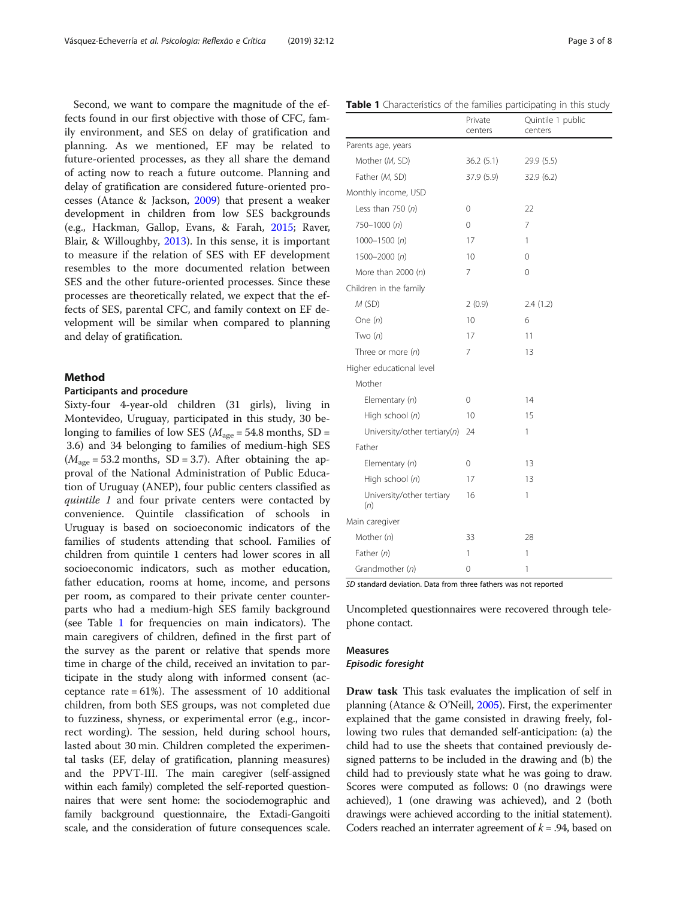Second, we want to compare the magnitude of the effects found in our first objective with those of CFC, family environment, and SES on delay of gratification and planning. As we mentioned, EF may be related to future-oriented processes, as they all share the demand of acting now to reach a future outcome. Planning and delay of gratification are considered future-oriented processes (Atance & Jackson, [2009\)](#page-7-0) that present a weaker development in children from low SES backgrounds (e.g., Hackman, Gallop, Evans, & Farah, [2015](#page-7-0); Raver, Blair, & Willoughby, [2013](#page-7-0)). In this sense, it is important to measure if the relation of SES with EF development resembles to the more documented relation between SES and the other future-oriented processes. Since these processes are theoretically related, we expect that the effects of SES, parental CFC, and family context on EF development will be similar when compared to planning and delay of gratification.

# Method

### Participants and procedure

Sixty-four 4-year-old children (31 girls), living in Montevideo, Uruguay, participated in this study, 30 belonging to families of low SES ( $M_{\text{age}} = 54.8$  months, SD = 3.6) and 34 belonging to families of medium-high SES  $(M<sub>age</sub> = 53.2 months, SD = 3.7)$ . After obtaining the approval of the National Administration of Public Education of Uruguay (ANEP), four public centers classified as quintile 1 and four private centers were contacted by convenience. Quintile classification of schools in Uruguay is based on socioeconomic indicators of the families of students attending that school. Families of children from quintile 1 centers had lower scores in all socioeconomic indicators, such as mother education, father education, rooms at home, income, and persons per room, as compared to their private center counterparts who had a medium-high SES family background (see Table 1 for frequencies on main indicators). The main caregivers of children, defined in the first part of the survey as the parent or relative that spends more time in charge of the child, received an invitation to participate in the study along with informed consent (acceptance rate  $= 61\%$ ). The assessment of 10 additional children, from both SES groups, was not completed due to fuzziness, shyness, or experimental error (e.g., incorrect wording). The session, held during school hours, lasted about 30 min. Children completed the experimental tasks (EF, delay of gratification, planning measures) and the PPVT-III. The main caregiver (self-assigned within each family) completed the self-reported questionnaires that were sent home: the sociodemographic and family background questionnaire, the Extadi-Gangoiti scale, and the consideration of future consequences scale.

|                                  | centers     | centers    |
|----------------------------------|-------------|------------|
| Parents age, years               |             |            |
| Mother (M, SD)                   | 36.2(5.1)   | 29.9 (5.5) |
| Father (M, SD)                   | 37.9 (5.9)  | 32.9 (6.2) |
| Monthly income, USD              |             |            |
| Less than $750(n)$               | 0           | 22         |
| $750 - 1000(n)$                  | 0           | 7          |
| $1000 - 1500(n)$                 | 17          | 1          |
| $1500 - 2000(n)$                 | 10          | $\Omega$   |
| More than $2000(n)$              | 7           | 0          |
| Children in the family           |             |            |
| M(SD)                            | 2(0.9)      | 2.4(1.2)   |
| One $(n)$                        | 10          | 6          |
| Two $(n)$                        | 17          | 11         |
| Three or more $(n)$              | 7           | 13         |
| Higher educational level         |             |            |
| Mother                           |             |            |
| Elementary $(n)$                 | $\mathbf 0$ | 14         |
| High school (n)                  | 10          | 15         |
| University/other tertiary(n)     | 24          | 1          |
| Father                           |             |            |
| Elementary $(n)$                 | 0           | 13         |
| High school (n)                  | 17          | 13         |
| University/other tertiary<br>(n) | 16          | 1          |
| Main caregiver                   |             |            |
| Mother $(n)$                     | 33          | 28         |
| Father $(n)$                     | 1           | 1          |
| Grandmother (n)                  | 0           | 1          |

SD standard deviation. Data from three fathers was not reported

Uncompleted questionnaires were recovered through telephone contact.

# Measures

# Episodic foresight

Draw task This task evaluates the implication of self in planning (Atance & O'Neill, [2005](#page-7-0)). First, the experimenter explained that the game consisted in drawing freely, following two rules that demanded self-anticipation: (a) the child had to use the sheets that contained previously designed patterns to be included in the drawing and (b) the child had to previously state what he was going to draw. Scores were computed as follows: 0 (no drawings were achieved), 1 (one drawing was achieved), and 2 (both drawings were achieved according to the initial statement). Coders reached an interrater agreement of  $k = .94$ , based on

Quintile 1 public

# Table 1 Characteristics of the families participating in this study Private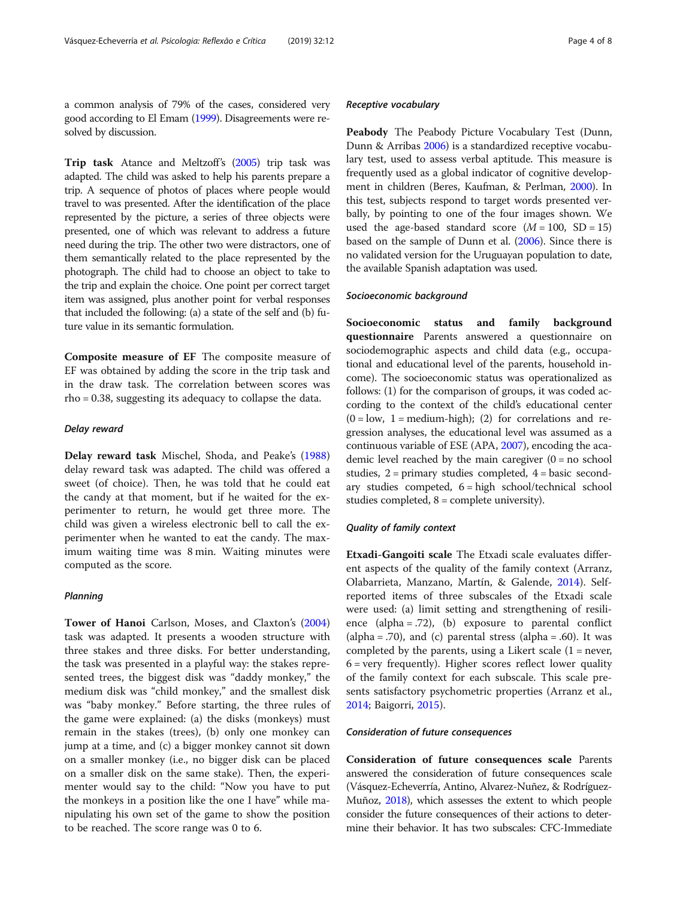a common analysis of 79% of the cases, considered very good according to El Emam [\(1999](#page-7-0)). Disagreements were resolved by discussion.

Trip task Atance and Meltzoff's [\(2005](#page-7-0)) trip task was adapted. The child was asked to help his parents prepare a trip. A sequence of photos of places where people would travel to was presented. After the identification of the place represented by the picture, a series of three objects were presented, one of which was relevant to address a future need during the trip. The other two were distractors, one of them semantically related to the place represented by the photograph. The child had to choose an object to take to the trip and explain the choice. One point per correct target item was assigned, plus another point for verbal responses that included the following: (a) a state of the self and (b) future value in its semantic formulation.

Composite measure of EF The composite measure of EF was obtained by adding the score in the trip task and in the draw task. The correlation between scores was rho = 0.38, suggesting its adequacy to collapse the data.

# Delay reward

Delay reward task Mischel, Shoda, and Peake's ([1988](#page-7-0)) delay reward task was adapted. The child was offered a sweet (of choice). Then, he was told that he could eat the candy at that moment, but if he waited for the experimenter to return, he would get three more. The child was given a wireless electronic bell to call the experimenter when he wanted to eat the candy. The maximum waiting time was 8 min. Waiting minutes were computed as the score.

# **Planning**

Tower of Hanoi Carlson, Moses, and Claxton's ([2004](#page-7-0)) task was adapted. It presents a wooden structure with three stakes and three disks. For better understanding, the task was presented in a playful way: the stakes represented trees, the biggest disk was "daddy monkey," the medium disk was "child monkey," and the smallest disk was "baby monkey." Before starting, the three rules of the game were explained: (a) the disks (monkeys) must remain in the stakes (trees), (b) only one monkey can jump at a time, and (c) a bigger monkey cannot sit down on a smaller monkey (i.e., no bigger disk can be placed on a smaller disk on the same stake). Then, the experimenter would say to the child: "Now you have to put the monkeys in a position like the one I have" while manipulating his own set of the game to show the position to be reached. The score range was 0 to 6.

# Receptive vocabulary

Peabody The Peabody Picture Vocabulary Test (Dunn, Dunn & Arribas [2006](#page-7-0)) is a standardized receptive vocabulary test, used to assess verbal aptitude. This measure is frequently used as a global indicator of cognitive development in children (Beres, Kaufman, & Perlman, [2000\)](#page-7-0). In this test, subjects respond to target words presented verbally, by pointing to one of the four images shown. We used the age-based standard score  $(M = 100, SD = 15)$ based on the sample of Dunn et al. ([2006](#page-7-0)). Since there is no validated version for the Uruguayan population to date, the available Spanish adaptation was used.

# Socioeconomic background

Socioeconomic status and family background questionnaire Parents answered a questionnaire on sociodemographic aspects and child data (e.g., occupational and educational level of the parents, household income). The socioeconomic status was operationalized as follows: (1) for the comparison of groups, it was coded according to the context of the child's educational center  $(0 = low, 1 = medium - high); (2) for correlations and re$ gression analyses, the educational level was assumed as a continuous variable of ESE (APA, [2007](#page-7-0)), encoding the academic level reached by the main caregiver  $(0 = no$  school studies, 2 = primary studies completed, 4 = basic secondary studies competed, 6 = high school/technical school studies completed, 8 = complete university).

# Quality of family context

Etxadi-Gangoiti scale The Etxadi scale evaluates different aspects of the quality of the family context (Arranz, Olabarrieta, Manzano, Martín, & Galende, [2014](#page-7-0)). Selfreported items of three subscales of the Etxadi scale were used: (a) limit setting and strengthening of resilience (alpha = .72), (b) exposure to parental conflict (alpha = .70), and (c) parental stress (alpha = .60). It was completed by the parents, using a Likert scale  $(1 = never,$  $6 = very frequently$ ). Higher scores reflect lower quality of the family context for each subscale. This scale presents satisfactory psychometric properties (Arranz et al., [2014](#page-7-0); Baigorri, [2015\)](#page-7-0).

# Consideration of future consequences

Consideration of future consequences scale Parents answered the consideration of future consequences scale (Vásquez-Echeverría, Antino, Alvarez-Nuñez, & Rodríguez-Muñoz, [2018](#page-7-0)), which assesses the extent to which people consider the future consequences of their actions to determine their behavior. It has two subscales: CFC-Immediate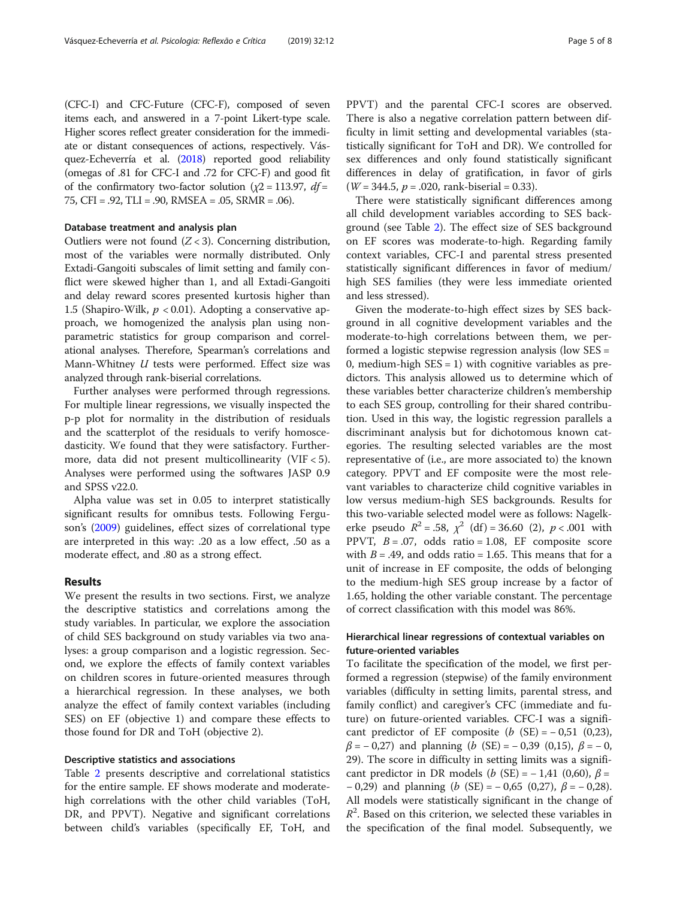(CFC-I) and CFC-Future (CFC-F), composed of seven items each, and answered in a 7-point Likert-type scale. Higher scores reflect greater consideration for the immediate or distant consequences of actions, respectively. Vásquez-Echeverría et al. [\(2018\)](#page-7-0) reported good reliability (omegas of .81 for CFC-I and .72 for CFC-F) and good fit of the confirmatory two-factor solution ( $\chi$ 2 = 113.97, *df* = 75, CFI = .92, TLI = .90, RMSEA = .05, SRMR = .06).

# Database treatment and analysis plan

Outliers were not found  $(Z < 3)$ . Concerning distribution, most of the variables were normally distributed. Only Extadi-Gangoiti subscales of limit setting and family conflict were skewed higher than 1, and all Extadi-Gangoiti and delay reward scores presented kurtosis higher than 1.5 (Shapiro-Wilk,  $p < 0.01$ ). Adopting a conservative approach, we homogenized the analysis plan using nonparametric statistics for group comparison and correlational analyses. Therefore, Spearman's correlations and Mann-Whitney  $U$  tests were performed. Effect size was analyzed through rank-biserial correlations.

Further analyses were performed through regressions. For multiple linear regressions, we visually inspected the p-p plot for normality in the distribution of residuals and the scatterplot of the residuals to verify homoscedasticity. We found that they were satisfactory. Furthermore, data did not present multicollinearity (VIF < 5). Analyses were performed using the softwares JASP 0.9 and SPSS v22.0.

Alpha value was set in 0.05 to interpret statistically significant results for omnibus tests. Following Ferguson's [\(2009\)](#page-7-0) guidelines, effect sizes of correlational type are interpreted in this way: .20 as a low effect, .50 as a moderate effect, and .80 as a strong effect.

# Results

We present the results in two sections. First, we analyze the descriptive statistics and correlations among the study variables. In particular, we explore the association of child SES background on study variables via two analyses: a group comparison and a logistic regression. Second, we explore the effects of family context variables on children scores in future-oriented measures through a hierarchical regression. In these analyses, we both analyze the effect of family context variables (including SES) on EF (objective 1) and compare these effects to those found for DR and ToH (objective 2).

# Descriptive statistics and associations

Table [2](#page-5-0) presents descriptive and correlational statistics for the entire sample. EF shows moderate and moderatehigh correlations with the other child variables (ToH, DR, and PPVT). Negative and significant correlations between child's variables (specifically EF, ToH, and

PPVT) and the parental CFC-I scores are observed. There is also a negative correlation pattern between difficulty in limit setting and developmental variables (statistically significant for ToH and DR). We controlled for sex differences and only found statistically significant differences in delay of gratification, in favor of girls  $(W = 344.5, p = .020, rank-biserial = 0.33).$ 

There were statistically significant differences among all child development variables according to SES background (see Table [2\)](#page-5-0). The effect size of SES background on EF scores was moderate-to-high. Regarding family context variables, CFC-I and parental stress presented statistically significant differences in favor of medium/ high SES families (they were less immediate oriented and less stressed).

Given the moderate-to-high effect sizes by SES background in all cognitive development variables and the moderate-to-high correlations between them, we performed a logistic stepwise regression analysis (low SES = 0, medium-high  $SES = 1$ ) with cognitive variables as predictors. This analysis allowed us to determine which of these variables better characterize children's membership to each SES group, controlling for their shared contribution. Used in this way, the logistic regression parallels a discriminant analysis but for dichotomous known categories. The resulting selected variables are the most representative of (i.e., are more associated to) the known category. PPVT and EF composite were the most relevant variables to characterize child cognitive variables in low versus medium-high SES backgrounds. Results for this two-variable selected model were as follows: Nagelkerke pseudo  $R^2 = .58$ ,  $\chi^2$  (df) = 36.60 (2),  $p < .001$  with PPVT,  $B = .07$ , odds ratio = 1.08, EF composite score with  $B = .49$ , and odds ratio = 1.65. This means that for a unit of increase in EF composite, the odds of belonging to the medium-high SES group increase by a factor of 1.65, holding the other variable constant. The percentage of correct classification with this model was 86%.

# Hierarchical linear regressions of contextual variables on future-oriented variables

To facilitate the specification of the model, we first performed a regression (stepwise) of the family environment variables (difficulty in setting limits, parental stress, and family conflict) and caregiver's CFC (immediate and future) on future-oriented variables. CFC-I was a significant predictor of EF composite  $(b \text{ (SE)} = -0.51 \text{ (0,23)}$ ,  $β = -0,27$ ) and planning (b (SE) = -0,39 (0,15),  $β = -0$ , 29). The score in difficulty in setting limits was a significant predictor in DR models ( $b$  (SE) = -1,41 (0,60),  $\beta$  =  $-0,29$ ) and planning (b (SE) =  $-0,65$  (0,27),  $\beta$  =  $-0,28$ ). All models were statistically significant in the change of  $R<sup>2</sup>$ . Based on this criterion, we selected these variables in the specification of the final model. Subsequently, we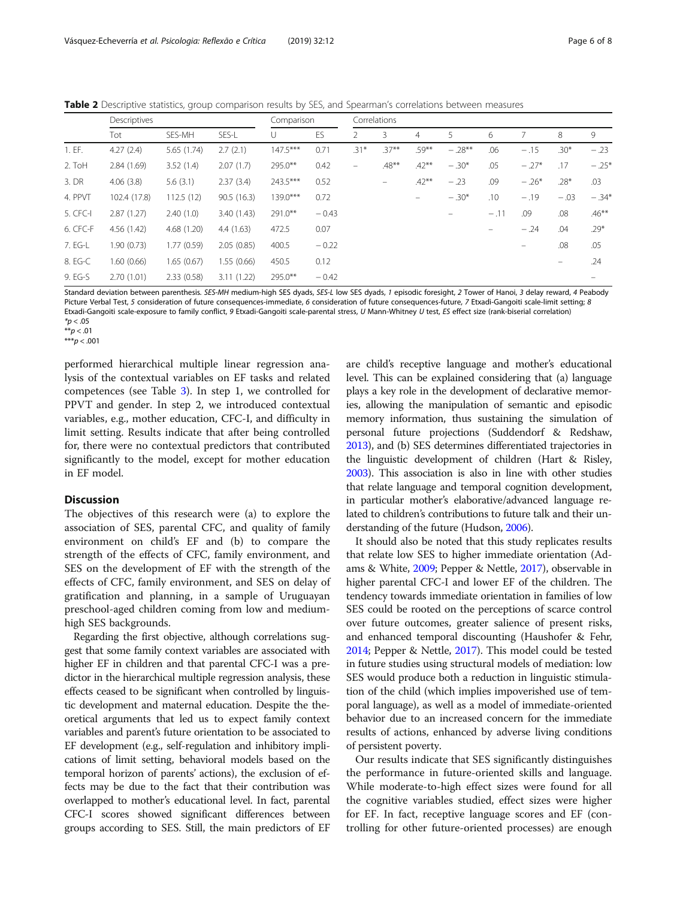<span id="page-5-0"></span>Table 2 Descriptive statistics, group comparison results by SES, and Spearman's correlations between measures

|          | Descriptives |             |             | Comparison |         | Correlations             |                   |                   |          |        |          |        |          |
|----------|--------------|-------------|-------------|------------|---------|--------------------------|-------------------|-------------------|----------|--------|----------|--------|----------|
|          | Tot          | SES-MH      | SES-L       | U          | ES      |                          | 3.                | $\overline{4}$    | 5        | 6      |          | 8      | 9        |
| 1. EF.   | 4.27(2.4)    | 5.65 (1.74) | 2.7(2.1)    | $147.5***$ | 0.71    | .31*                     | $.37***$          | $.59***$          | $-.28**$ | .06    | $-.15$   | $.30*$ | $-.23$   |
| 2. ToH   | 2.84(1.69)   | 3.52(1.4)   | 2.07(1.7)   | 295.0**    | 0.42    | $\overline{\phantom{0}}$ | $.48***$          | $.42***$          | $-.30*$  | .05    | $-.27*$  | .17    | $-.25*$  |
| 3. DR    | 4.06(3.8)    | 5.6(3.1)    | 2.37(3.4)   | 243.5***   | 0.52    |                          | $\qquad \qquad -$ | $.42***$          | $-.23$   | .09    | $-.26*$  | $.28*$ | .03      |
| 4. PPVT  | 102.4 (17.8) | 112.5(12)   | 90.5(16.3)  | $139.0***$ | 0.72    |                          |                   | $\qquad \qquad -$ | $-.30*$  | .10    | $-.19$   | $-.03$ | $-.34*$  |
| 5. CFC-I | 2.87(1.27)   | 2.40(1.0)   | 3.40(1.43)  | 291.0**    | $-0.43$ |                          |                   |                   | $\equiv$ | $-.11$ | .09      | .08    | $.46***$ |
| 6. CFC-F | 4.56(1.42)   | 4.68(1.20)  | 4.4(1.63)   | 472.5      | 0.07    |                          |                   |                   |          |        | $-.24$   | .04    | $.29*$   |
| 7. EG-L  | 1.90(0.73)   | 1.77(0.59)  | 2.05(0.85)  | 400.5      | $-0.22$ |                          |                   |                   |          |        | $\equiv$ | .08    | .05      |
| 8. EG-C  | 1.60 (0.66)  | 1.65(0.67)  | 1.55 (0.66) | 450.5      | 0.12    |                          |                   |                   |          |        |          |        | .24      |
| 9. EG-S  | 2.70(1.01)   | 2.33(0.58)  | 3.11(1.22)  | 295.0**    | $-0.42$ |                          |                   |                   |          |        |          |        |          |

Standard deviation between parenthesis. SES-MH medium-high SES dyads, SES-L low SES dyads, 1 episodic foresight, 2 Tower of Hanoi, 3 delay reward, 4 Peabody Picture Verbal Test, 5 consideration of future consequences-immediate, 6 consideration of future consequences-future, 7 Etxadi-Gangoiti scale-limit setting; 8 Etxadi-Gangoiti scale-exposure to family conflict, 9 Etxadi-Gangoiti scale-parental stress, U Mann-Whitney U test, ES effect size (rank-biserial correlation)  $*p < .05$ 

 $* p < .01$ 

\*\*\* $p < .001$ 

performed hierarchical multiple linear regression analysis of the contextual variables on EF tasks and related competences (see Table [3\)](#page-6-0). In step 1, we controlled for PPVT and gender. In step 2, we introduced contextual variables, e.g., mother education, CFC-I, and difficulty in limit setting. Results indicate that after being controlled for, there were no contextual predictors that contributed significantly to the model, except for mother education in EF model.

# **Discussion**

The objectives of this research were (a) to explore the association of SES, parental CFC, and quality of family environment on child's EF and (b) to compare the strength of the effects of CFC, family environment, and SES on the development of EF with the strength of the effects of CFC, family environment, and SES on delay of gratification and planning, in a sample of Uruguayan preschool-aged children coming from low and mediumhigh SES backgrounds.

Regarding the first objective, although correlations suggest that some family context variables are associated with higher EF in children and that parental CFC-I was a predictor in the hierarchical multiple regression analysis, these effects ceased to be significant when controlled by linguistic development and maternal education. Despite the theoretical arguments that led us to expect family context variables and parent's future orientation to be associated to EF development (e.g., self-regulation and inhibitory implications of limit setting, behavioral models based on the temporal horizon of parents' actions), the exclusion of effects may be due to the fact that their contribution was overlapped to mother's educational level. In fact, parental CFC-I scores showed significant differences between groups according to SES. Still, the main predictors of EF are child's receptive language and mother's educational level. This can be explained considering that (a) language plays a key role in the development of declarative memories, allowing the manipulation of semantic and episodic memory information, thus sustaining the simulation of personal future projections (Suddendorf & Redshaw, [2013\)](#page-7-0), and (b) SES determines differentiated trajectories in the linguistic development of children (Hart & Risley, [2003\)](#page-7-0). This association is also in line with other studies that relate language and temporal cognition development, in particular mother's elaborative/advanced language related to children's contributions to future talk and their understanding of the future (Hudson, [2006](#page-7-0)).

It should also be noted that this study replicates results that relate low SES to higher immediate orientation (Adams & White, [2009;](#page-7-0) Pepper & Nettle, [2017](#page-7-0)), observable in higher parental CFC-I and lower EF of the children. The tendency towards immediate orientation in families of low SES could be rooted on the perceptions of scarce control over future outcomes, greater salience of present risks, and enhanced temporal discounting (Haushofer & Fehr, [2014](#page-7-0); Pepper & Nettle, [2017\)](#page-7-0). This model could be tested in future studies using structural models of mediation: low SES would produce both a reduction in linguistic stimulation of the child (which implies impoverished use of temporal language), as well as a model of immediate-oriented behavior due to an increased concern for the immediate results of actions, enhanced by adverse living conditions of persistent poverty.

Our results indicate that SES significantly distinguishes the performance in future-oriented skills and language. While moderate-to-high effect sizes were found for all the cognitive variables studied, effect sizes were higher for EF. In fact, receptive language scores and EF (controlling for other future-oriented processes) are enough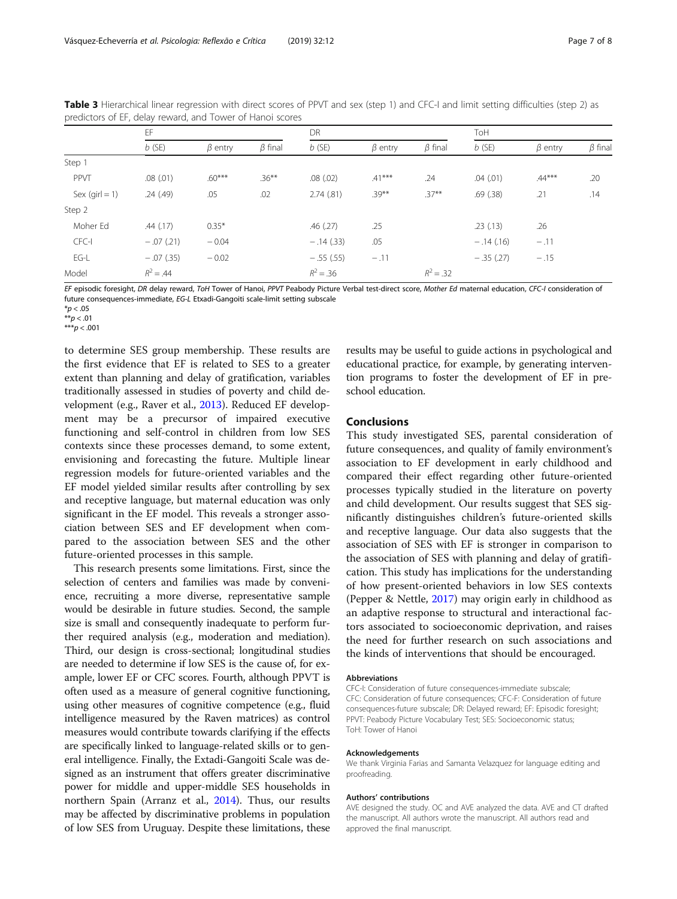|                                      | EF            |               |               | DR            |               |               | ToH         |               |               |  |
|--------------------------------------|---------------|---------------|---------------|---------------|---------------|---------------|-------------|---------------|---------------|--|
|                                      | $b$ (SE)      | $\beta$ entry | $\beta$ final | $b$ (SE)      | $\beta$ entry | $\beta$ final | $b$ (SE)    | $\beta$ entry | $\beta$ final |  |
| Step 1                               |               |               |               |               |               |               |             |               |               |  |
| PPVT                                 | $.08$ $(.01)$ | $.60***$      | $.36***$      | $.08$ $(.02)$ | $.41***$      | .24           | .04(.01)    | $.44***$      | .20           |  |
| Sex $\left( \text{qirl} = 1 \right)$ | .24(.49)      | .05           | .02           | 2.74(.81)     | $.39***$      | $.37***$      | .69(.38)    | .21           | .14           |  |
| Step 2                               |               |               |               |               |               |               |             |               |               |  |
| Moher Ed                             | .44(.17)      | $0.35*$       |               | .46(.27)      | .25           |               | .23(.13)    | .26           |               |  |
| CFC-I                                | $-.07(.21)$   | $-0.04$       |               | $-.14(.33)$   | .05           |               | $-.14(.16)$ | $-.11$        |               |  |
| EG-L                                 | $-.07(.35)$   | $-0.02$       |               | $-.55(.55)$   | $-.11$        |               | $-.35(.27)$ | $-.15$        |               |  |
| Model                                | $R^2 = .44$   |               |               | $R^2 = .36$   |               | $R^2 = .32$   |             |               |               |  |

<span id="page-6-0"></span>Table 3 Hierarchical linear regression with direct scores of PPVT and sex (step 1) and CFC-I and limit setting difficulties (step 2) as predictors of EF, delay reward, and Tower of Hanoi scores

EF episodic foresight, DR delay reward, ToH Tower of Hanoi, PPVT Peabody Picture Verbal test-direct score, Mother Ed maternal education, CFC-I consideration of future consequences-immediate, EG-L Etxadi-Gangoiti scale-limit setting subscale

 $*p < .05$ 

 $p < .01$ \*\*\* $p < .001$ 

to determine SES group membership. These results are the first evidence that EF is related to SES to a greater extent than planning and delay of gratification, variables traditionally assessed in studies of poverty and child development (e.g., Raver et al., [2013](#page-7-0)). Reduced EF development may be a precursor of impaired executive functioning and self-control in children from low SES contexts since these processes demand, to some extent, envisioning and forecasting the future. Multiple linear regression models for future-oriented variables and the EF model yielded similar results after controlling by sex and receptive language, but maternal education was only significant in the EF model. This reveals a stronger association between SES and EF development when compared to the association between SES and the other future-oriented processes in this sample.

This research presents some limitations. First, since the selection of centers and families was made by convenience, recruiting a more diverse, representative sample would be desirable in future studies. Second, the sample size is small and consequently inadequate to perform further required analysis (e.g., moderation and mediation). Third, our design is cross-sectional; longitudinal studies are needed to determine if low SES is the cause of, for example, lower EF or CFC scores. Fourth, although PPVT is often used as a measure of general cognitive functioning, using other measures of cognitive competence (e.g., fluid intelligence measured by the Raven matrices) as control measures would contribute towards clarifying if the effects are specifically linked to language-related skills or to general intelligence. Finally, the Extadi-Gangoiti Scale was designed as an instrument that offers greater discriminative power for middle and upper-middle SES households in northern Spain (Arranz et al., [2014\)](#page-7-0). Thus, our results may be affected by discriminative problems in population of low SES from Uruguay. Despite these limitations, these results may be useful to guide actions in psychological and educational practice, for example, by generating intervention programs to foster the development of EF in preschool education.

# Conclusions

This study investigated SES, parental consideration of future consequences, and quality of family environment's association to EF development in early childhood and compared their effect regarding other future-oriented processes typically studied in the literature on poverty and child development. Our results suggest that SES significantly distinguishes children's future-oriented skills and receptive language. Our data also suggests that the association of SES with EF is stronger in comparison to the association of SES with planning and delay of gratification. This study has implications for the understanding of how present-oriented behaviors in low SES contexts (Pepper & Nettle, [2017\)](#page-7-0) may origin early in childhood as an adaptive response to structural and interactional factors associated to socioeconomic deprivation, and raises the need for further research on such associations and the kinds of interventions that should be encouraged.

#### Abbreviations

CFC-I: Consideration of future consequences-immediate subscale; CFC: Consideration of future consequences; CFC-F: Consideration of future consequences-future subscale; DR: Delayed reward; EF: Episodic foresight; PPVT: Peabody Picture Vocabulary Test; SES: Socioeconomic status; ToH: Tower of Hanoi

#### Acknowledgements

We thank Virginia Farias and Samanta Velazquez for language editing and proofreading.

#### Authors' contributions

AVE designed the study. OC and AVE analyzed the data. AVE and CT drafted the manuscript. All authors wrote the manuscript. All authors read and approved the final manuscript.